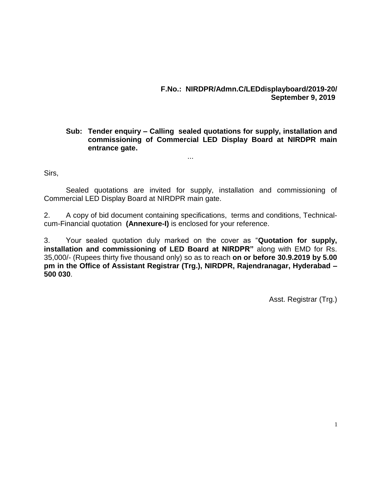## **F.No.: NIRDPR/Admn.C/LEDdisplayboard/2019-20/ September 9, 2019**

#### **Sub: Tender enquiry – Calling sealed quotations for supply, installation and commissioning of Commercial LED Display Board at NIRDPR main entrance gate.**

Sirs,

Sealed quotations are invited for supply, installation and commissioning of Commercial LED Display Board at NIRDPR main gate.

...

2. A copy of bid document containing specifications, terms and conditions, Technicalcum-Financial quotation **(Annexure-I)** is enclosed for your reference.

3. Your sealed quotation duly marked on the cover as "**Quotation for supply, installation and commissioning of LED Board at NIRDPR"** along with EMD for Rs. 35,000/- (Rupees thirty five thousand only) so as to reach **on or before 30.9.2019 by 5.00 pm in the Office of Assistant Registrar (Trg.), NIRDPR, Rajendranagar, Hyderabad – 500 030**.

Asst. Registrar (Trg.)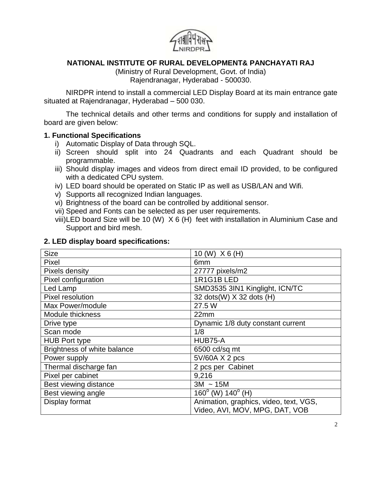

## **NATIONAL INSTITUTE OF RURAL DEVELOPMENT& PANCHAYATI RAJ**

(Ministry of Rural Development, Govt. of India) Rajendranagar, Hyderabad - 500030.

NIRDPR intend to install a commercial LED Display Board at its main entrance gate situated at Rajendranagar, Hyderabad – 500 030.

The technical details and other terms and conditions for supply and installation of board are given below:

#### **1. Functional Specifications**

- i) Automatic Display of Data through SQL.
- ii) Screen should split into 24 Quadrants and each Quadrant should be programmable.
- iii) Should display images and videos from direct email ID provided, to be configured with a dedicated CPU system.
- iv) LED board should be operated on Static IP as well as USB/LAN and Wifi.
- v) Supports all recognized Indian languages.
- vi) Brightness of the board can be controlled by additional sensor.
- vii) Speed and Fonts can be selected as per user requirements.
- viii)LED board Size will be 10 (W) X 6 (H) feet with installation in Aluminium Case and Support and bird mesh.

#### **2. LED display board specifications:**

| <b>Size</b>                 | 10 (W) $X 6$ (H)                       |  |
|-----------------------------|----------------------------------------|--|
| Pixel                       | 6 <sub>mm</sub>                        |  |
| Pixels density              | 27777 pixels/m2                        |  |
| Pixel configuration         | 1R1G1BLED                              |  |
| Led Lamp                    | SMD3535 3IN1 Kinglight, ICN/TC         |  |
| Pixel resolution            | 32 dots(W) X 32 dots (H)               |  |
| Max Power/module            | 27.5 W                                 |  |
| Module thickness            | 22mm                                   |  |
| Drive type                  | Dynamic 1/8 duty constant current      |  |
| Scan mode                   | 1/8                                    |  |
| <b>HUB Port type</b>        | HUB75-A                                |  |
| Brightness of white balance | 6500 cd/sq mt                          |  |
| Power supply                | 5V/60A X 2 pcs                         |  |
| Thermal discharge fan       | 2 pcs per Cabinet                      |  |
| Pixel per cabinet           | 9,216                                  |  |
| Best viewing distance       | $3M \sim 15M$                          |  |
| Best viewing angle          | $160^{\circ}$ (W) $140^{\circ}$ (H)    |  |
| Display format              | Animation, graphics, video, text, VGS, |  |
|                             | Video, AVI, MOV, MPG, DAT, VOB         |  |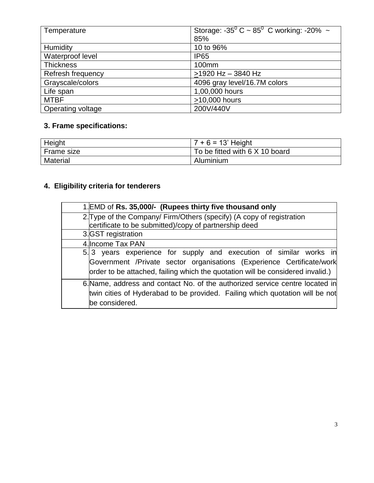| Temperature                                      | Storage: -35 <sup>0</sup> C ~ 85 <sup>0</sup> C working: -20% ~ |
|--------------------------------------------------|-----------------------------------------------------------------|
|                                                  | 85%                                                             |
| Humidity                                         | 10 to 96%                                                       |
| Waterproof level                                 | <b>IP65</b>                                                     |
| <b>Thickness</b>                                 | 100 <sub>mm</sub>                                               |
| Refresh frequency                                | $>1920$ Hz - 3840 Hz                                            |
| Grayscale/colors<br>4096 gray level/16.7M colors |                                                                 |
| Life span                                        | 1,00,000 hours                                                  |
| <b>MTBF</b>                                      | >10,000 hours                                                   |
| Operating voltage                                | 200V/440V                                                       |

# **3. Frame specifications:**

| Height          | $7 + 6 = 13'$ Height           |
|-----------------|--------------------------------|
| Frame size      | To be fitted with 6 X 10 board |
| <b>Material</b> | Aluminium                      |

# **4. Eligibility criteria for tenderers**

| 1. EMD of Rs. 35,000/- (Rupees thirty five thousand only                                                                                                                                                                     |
|------------------------------------------------------------------------------------------------------------------------------------------------------------------------------------------------------------------------------|
| 2. Type of the Company/ Firm/Others (specify) (A copy of registration<br>certificate to be submitted)/copy of partnership deed                                                                                               |
| 3. GST registration                                                                                                                                                                                                          |
| 4. Income Tax PAN                                                                                                                                                                                                            |
| 5.3 years experience for supply and execution of similar works in<br>Government /Private sector organisations (Experience Certificate/work<br>order to be attached, failing which the quotation will be considered invalid.) |
| 6. Name, address and contact No. of the authorized service centre located in<br>twin cities of Hyderabad to be provided. Failing which quotation will be not<br>be considered.                                               |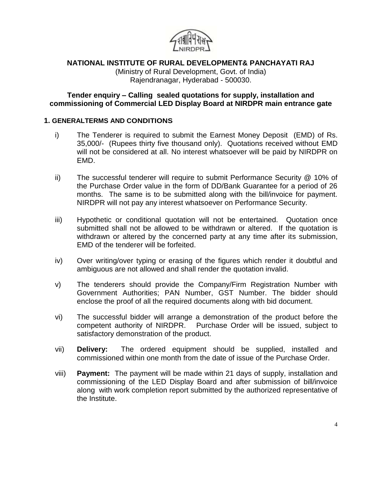

**NATIONAL INSTITUTE OF RURAL DEVELOPMENT& PANCHAYATI RAJ**

(Ministry of Rural Development, Govt. of India) Rajendranagar, Hyderabad - 500030.

**Tender enquiry – Calling sealed quotations for supply, installation and commissioning of Commercial LED Display Board at NIRDPR main entrance gate**

#### **1. GENERALTERMS AND CONDITIONS**

- i) The Tenderer is required to submit the Earnest Money Deposit (EMD) of Rs. 35,000/- (Rupees thirty five thousand only). Quotations received without EMD will not be considered at all. No interest whatsoever will be paid by NIRDPR on EMD.
- ii) The successful tenderer will require to submit Performance Security @ 10% of the Purchase Order value in the form of DD/Bank Guarantee for a period of 26 months. The same is to be submitted along with the bill/invoice for payment. NIRDPR will not pay any interest whatsoever on Performance Security.
- iii) Hypothetic or conditional quotation will not be entertained. Quotation once submitted shall not be allowed to be withdrawn or altered. If the quotation is withdrawn or altered by the concerned party at any time after its submission, EMD of the tenderer will be forfeited.
- iv) Over writing/over typing or erasing of the figures which render it doubtful and ambiguous are not allowed and shall render the quotation invalid.
- v) The tenderers should provide the Company/Firm Registration Number with Government Authorities; PAN Number, GST Number. The bidder should enclose the proof of all the required documents along with bid document.
- vi) The successful bidder will arrange a demonstration of the product before the competent authority of NIRDPR. Purchase Order will be issued, subject to satisfactory demonstration of the product.
- vii) **Delivery:** The ordered equipment should be supplied, installed and commissioned within one month from the date of issue of the Purchase Order.
- viii) **Payment:** The payment will be made within 21 days of supply, installation and commissioning of the LED Display Board and after submission of bill/invoice along with work completion report submitted by the authorized representative of the Institute.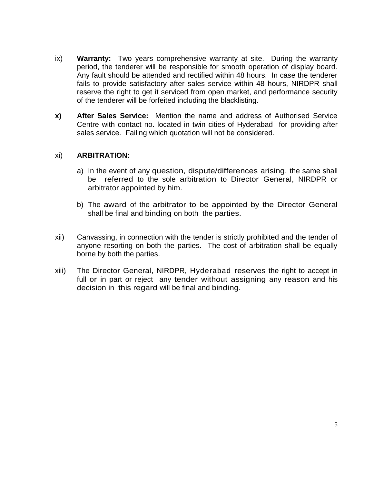- ix) **Warranty:** Two years comprehensive warranty at site. During the warranty period, the tenderer will be responsible for smooth operation of display board. Any fault should be attended and rectified within 48 hours. In case the tenderer fails to provide satisfactory after sales service within 48 hours, NIRDPR shall reserve the right to get it serviced from open market, and performance security of the tenderer will be forfeited including the blacklisting.
- **x) After Sales Service:** Mention the name and address of Authorised Service Centre with contact no. located in twin cities of Hyderabad for providing after sales service. Failing which quotation will not be considered.

#### xi) **ARBITRATION:**

- a) In the event of any question, dispute/differences arising, the same shall be referred to the sole arbitration to Director General, NIRDPR or arbitrator appointed by him.
- b) The award of the arbitrator to be appointed by the Director General shall be final and binding on both the parties.
- xii) Canvassing, in connection with the tender is strictly prohibited and the tender of anyone resorting on both the parties. The cost of arbitration shall be equally borne by both the parties.
- xiii) The Director General, NIRDPR, Hyderabad reserves the right to accept in full or in part or reject any tender without assigning any reason and his decision in this regard will be final and binding.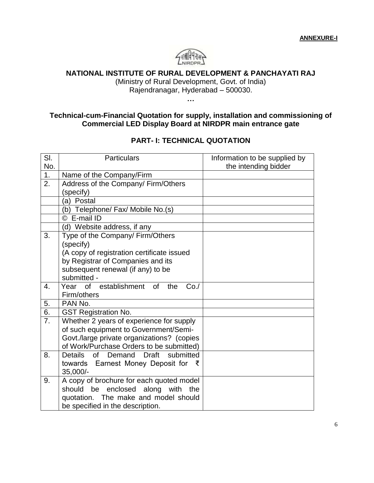

#### **NATIONAL INSTITUTE OF RURAL DEVELOPMENT & PANCHAYATI RAJ**

(Ministry of Rural Development, Govt. of India) Rajendranagar, Hyderabad – 500030.

**…**

### **Technical-cum-Financial Quotation for supply, installation and commissioning of Commercial LED Display Board at NIRDPR main entrance gate**

### **PART- I: TECHNICAL QUOTATION**

| SI.              | <b>Particulars</b>                         | Information to be supplied by |  |
|------------------|--------------------------------------------|-------------------------------|--|
| No.              |                                            | the intending bidder          |  |
| $\overline{1}$ . | Name of the Company/Firm                   |                               |  |
| $\overline{2}$ . | Address of the Company/ Firm/Others        |                               |  |
|                  | (specify)                                  |                               |  |
|                  | (a) Postal                                 |                               |  |
|                  | (b) Telephone/ Fax/ Mobile No.(s)          |                               |  |
|                  | © E-mail ID                                |                               |  |
|                  | (d) Website address, if any                |                               |  |
| 3.               | Type of the Company/ Firm/Others           |                               |  |
|                  | (specify)                                  |                               |  |
|                  | (A copy of registration certificate issued |                               |  |
|                  | by Registrar of Companies and its          |                               |  |
|                  | subsequent renewal (if any) to be          |                               |  |
|                  | submitted -                                |                               |  |
| 4.               | Year of establishment of<br>the<br>Co.     |                               |  |
|                  | Firm/others                                |                               |  |
| 5.               | PAN No.                                    |                               |  |
| 6.               | <b>GST Registration No.</b>                |                               |  |
| 7.               | Whether 2 years of experience for supply   |                               |  |
|                  | of such equipment to Government/Semi-      |                               |  |
|                  | Govt./large private organizations? (copies |                               |  |
|                  | of Work/Purchase Orders to be submitted)   |                               |  |
| 8.               | submitted<br>Details of Demand Draft       |                               |  |
|                  | towards Earnest Money Deposit for ₹        |                               |  |
|                  | 35,000/-                                   |                               |  |
| 9.               | A copy of brochure for each quoted model   |                               |  |
|                  | should be enclosed along with the          |                               |  |
|                  | quotation. The make and model should       |                               |  |
|                  | be specified in the description.           |                               |  |